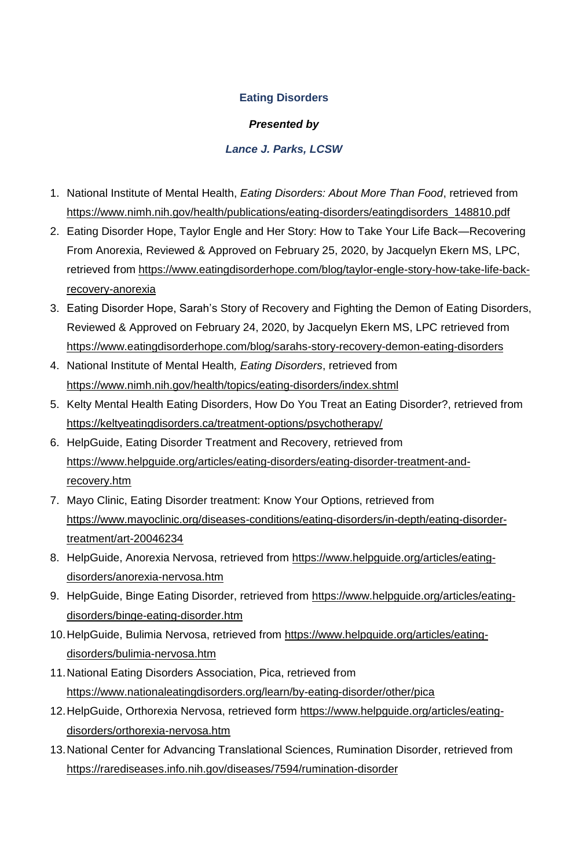## **Eating Disorders**

## *Presented by*

## *Lance J. Parks, LCSW*

- 1. National Institute of Mental Health, *Eating Disorders: About More Than Food*, retrieved from [https://www.nimh.nih.gov/health/publications/eating-disorders/eatingdisorders\\_148810.pdf](https://www.nimh.nih.gov/health/publications/eating-disorders/eatingdisorders_148810.pdf)
- 2. Eating Disorder Hope, Taylor Engle and Her Story: How to Take Your Life Back—Recovering From Anorexia, Reviewed & Approved on February 25, 2020, by Jacquelyn Ekern MS, LPC, retrieved from [https://www.eatingdisorderhope.com/blog/taylor-engle-story-how-take-life-back](https://www.eatingdisorderhope.com/blog/taylor-engle-story-how-take-life-back-recovery-anorexia)[recovery-anorexia](https://www.eatingdisorderhope.com/blog/taylor-engle-story-how-take-life-back-recovery-anorexia)
- 3. Eating Disorder Hope, Sarah's Story of Recovery and Fighting the Demon of Eating Disorders, Reviewed & Approved on February 24, 2020, by Jacquelyn Ekern MS, LPC retrieved from <https://www.eatingdisorderhope.com/blog/sarahs-story-recovery-demon-eating-disorders>
- 4. National Institute of Mental Health*, Eating Disorders*, retrieved from <https://www.nimh.nih.gov/health/topics/eating-disorders/index.shtml>
- 5. Kelty Mental Health Eating Disorders, How Do You Treat an Eating Disorder?, retrieved from <https://keltyeatingdisorders.ca/treatment-options/psychotherapy/>
- 6. HelpGuide, Eating Disorder Treatment and Recovery, retrieved from [https://www.helpguide.org/articles/eating-disorders/eating-disorder-treatment-and](https://www.helpguide.org/articles/eating-disorders/eating-disorder-treatment-and-recovery.htm)[recovery.htm](https://www.helpguide.org/articles/eating-disorders/eating-disorder-treatment-and-recovery.htm)
- 7. Mayo Clinic, Eating Disorder treatment: Know Your Options, retrieved from [https://www.mayoclinic.org/diseases-conditions/eating-disorders/in-depth/eating-disorder](https://www.mayoclinic.org/diseases-conditions/eating-disorders/in-depth/eating-disorder-treatment/art-20046234)[treatment/art-20046234](https://www.mayoclinic.org/diseases-conditions/eating-disorders/in-depth/eating-disorder-treatment/art-20046234)
- 8. HelpGuide, Anorexia Nervosa, retrieved from [https://www.helpguide.org/articles/eating](https://www.helpguide.org/articles/eating-disorders/anorexia-nervosa.htm)[disorders/anorexia-nervosa.htm](https://www.helpguide.org/articles/eating-disorders/anorexia-nervosa.htm)
- 9. HelpGuide, Binge Eating Disorder, retrieved from [https://www.helpguide.org/articles/eating](https://www.helpguide.org/articles/eating-disorders/binge-eating-disorder.htm)[disorders/binge-eating-disorder.htm](https://www.helpguide.org/articles/eating-disorders/binge-eating-disorder.htm)
- 10.HelpGuide, Bulimia Nervosa, retrieved from [https://www.helpguide.org/articles/eating](https://www.helpguide.org/articles/eating-disorders/bulimia-nervosa.htm)[disorders/bulimia-nervosa.htm](https://www.helpguide.org/articles/eating-disorders/bulimia-nervosa.htm)
- 11.National Eating Disorders Association, Pica, retrieved from <https://www.nationaleatingdisorders.org/learn/by-eating-disorder/other/pica>
- 12.HelpGuide, Orthorexia Nervosa, retrieved form [https://www.helpguide.org/articles/eating](https://www.helpguide.org/articles/eating-disorders/orthorexia-nervosa.htm)[disorders/orthorexia-nervosa.htm](https://www.helpguide.org/articles/eating-disorders/orthorexia-nervosa.htm)
- 13.National Center for Advancing Translational Sciences, Rumination Disorder, retrieved from <https://rarediseases.info.nih.gov/diseases/7594/rumination-disorder>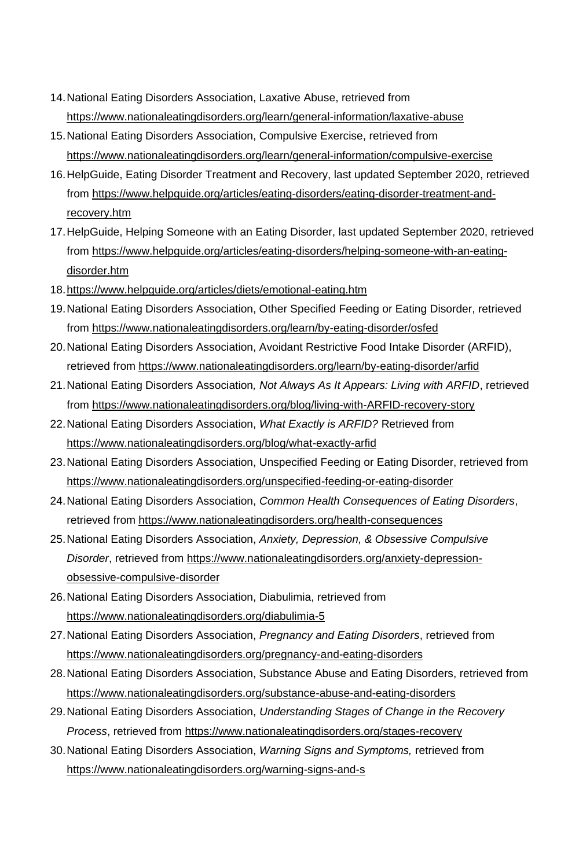- 14.National Eating Disorders Association, Laxative Abuse, retrieved from <https://www.nationaleatingdisorders.org/learn/general-information/laxative-abuse>
- 15.National Eating Disorders Association, Compulsive Exercise, retrieved from <https://www.nationaleatingdisorders.org/learn/general-information/compulsive-exercise>
- 16.HelpGuide, Eating Disorder Treatment and Recovery, last updated September 2020, retrieved from [https://www.helpguide.org/articles/eating-disorders/eating-disorder-treatment-and](https://www.helpguide.org/articles/eating-disorders/eating-disorder-treatment-and-recovery.htm)[recovery.htm](https://www.helpguide.org/articles/eating-disorders/eating-disorder-treatment-and-recovery.htm)
- 17.HelpGuide, Helping Someone with an Eating Disorder, last updated September 2020, retrieved from [https://www.helpguide.org/articles/eating-disorders/helping-someone-with-an-eating](https://www.helpguide.org/articles/eating-disorders/helping-someone-with-an-eating-disorder.htm)[disorder.htm](https://www.helpguide.org/articles/eating-disorders/helping-someone-with-an-eating-disorder.htm)
- 18[.https://www.helpguide.org/articles/diets/emotional-eating.htm](https://www.helpguide.org/articles/diets/emotional-eating.htm)
- 19.National Eating Disorders Association, Other Specified Feeding or Eating Disorder, retrieved from<https://www.nationaleatingdisorders.org/learn/by-eating-disorder/osfed>
- 20.National Eating Disorders Association, Avoidant Restrictive Food Intake Disorder (ARFID), retrieved from<https://www.nationaleatingdisorders.org/learn/by-eating-disorder/arfid>
- 21.National Eating Disorders Association*, Not Always As It Appears: Living with ARFID*, retrieved from<https://www.nationaleatingdisorders.org/blog/living-with-ARFID-recovery-story>
- 22.National Eating Disorders Association, *What Exactly is ARFID?* Retrieved from <https://www.nationaleatingdisorders.org/blog/what-exactly-arfid>
- 23.National Eating Disorders Association, Unspecified Feeding or Eating Disorder, retrieved from <https://www.nationaleatingdisorders.org/unspecified-feeding-or-eating-disorder>
- 24.National Eating Disorders Association, *Common Health Consequences of Eating Disorders*, retrieved from<https://www.nationaleatingdisorders.org/health-consequences>
- 25.National Eating Disorders Association, *Anxiety, Depression, & Obsessive Compulsive Disorder*, retrieved from [https://www.nationaleatingdisorders.org/anxiety-depression](https://www.nationaleatingdisorders.org/anxiety-depression-obsessive-compulsive-disorder)[obsessive-compulsive-disorder](https://www.nationaleatingdisorders.org/anxiety-depression-obsessive-compulsive-disorder)
- 26.National Eating Disorders Association, Diabulimia, retrieved from <https://www.nationaleatingdisorders.org/diabulimia-5>
- 27.National Eating Disorders Association, *Pregnancy and Eating Disorders*, retrieved from <https://www.nationaleatingdisorders.org/pregnancy-and-eating-disorders>
- 28.National Eating Disorders Association, Substance Abuse and Eating Disorders, retrieved from <https://www.nationaleatingdisorders.org/substance-abuse-and-eating-disorders>
- 29.National Eating Disorders Association, *Understanding Stages of Change in the Recovery Process*, retrieved from<https://www.nationaleatingdisorders.org/stages-recovery>
- 30.National Eating Disorders Association, *Warning Signs and Symptoms,* retrieved from <https://www.nationaleatingdisorders.org/warning-signs-and-s>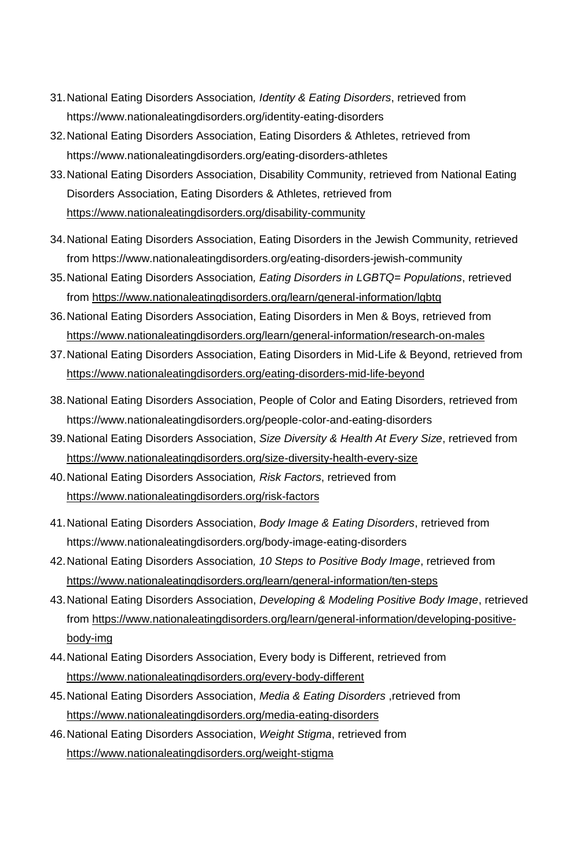- 31.National Eating Disorders Association*, Identity & Eating Disorders*, retrieved from https://www.nationaleatingdisorders.org/identity-eating-disorders
- 32.National Eating Disorders Association, Eating Disorders & Athletes, retrieved from https://www.nationaleatingdisorders.org/eating-disorders-athletes
- 33.National Eating Disorders Association, Disability Community, retrieved from National Eating Disorders Association, Eating Disorders & Athletes, retrieved from <https://www.nationaleatingdisorders.org/disability-community>
- 34.National Eating Disorders Association, Eating Disorders in the Jewish Community, retrieved from https://www.nationaleatingdisorders.org/eating-disorders-jewish-community
- 35.National Eating Disorders Association*, Eating Disorders in LGBTQ= Populations*, retrieved from<https://www.nationaleatingdisorders.org/learn/general-information/lgbtq>
- 36.National Eating Disorders Association, Eating Disorders in Men & Boys, retrieved from <https://www.nationaleatingdisorders.org/learn/general-information/research-on-males>
- 37.National Eating Disorders Association, Eating Disorders in Mid-Life & Beyond, retrieved from <https://www.nationaleatingdisorders.org/eating-disorders-mid-life-beyond>
- 38.National Eating Disorders Association, People of Color and Eating Disorders, retrieved from https://www.nationaleatingdisorders.org/people-color-and-eating-disorders
- 39.National Eating Disorders Association, *Size Diversity & Health At Every Size*, retrieved from <https://www.nationaleatingdisorders.org/size-diversity-health-every-size>
- 40.National Eating Disorders Association*, Risk Factors*, retrieved from <https://www.nationaleatingdisorders.org/risk-factors>
- 41.National Eating Disorders Association, *Body Image & Eating Disorders*, retrieved from https://www.nationaleatingdisorders.org/body-image-eating-disorders
- 42.National Eating Disorders Association*, 10 Steps to Positive Body Image*, retrieved from <https://www.nationaleatingdisorders.org/learn/general-information/ten-steps>
- 43.National Eating Disorders Association, *Developing & Modeling Positive Body Image*, retrieved from [https://www.nationaleatingdisorders.org/learn/general-information/developing-positive](https://www.nationaleatingdisorders.org/learn/general-information/developing-positive-body-img)[body-img](https://www.nationaleatingdisorders.org/learn/general-information/developing-positive-body-img)
- 44.National Eating Disorders Association, Every body is Different, retrieved from <https://www.nationaleatingdisorders.org/every-body-different>
- 45.National Eating Disorders Association, *Media & Eating Disorders* ,retrieved from <https://www.nationaleatingdisorders.org/media-eating-disorders>
- 46.National Eating Disorders Association, *Weight Stigma*, retrieved from <https://www.nationaleatingdisorders.org/weight-stigma>